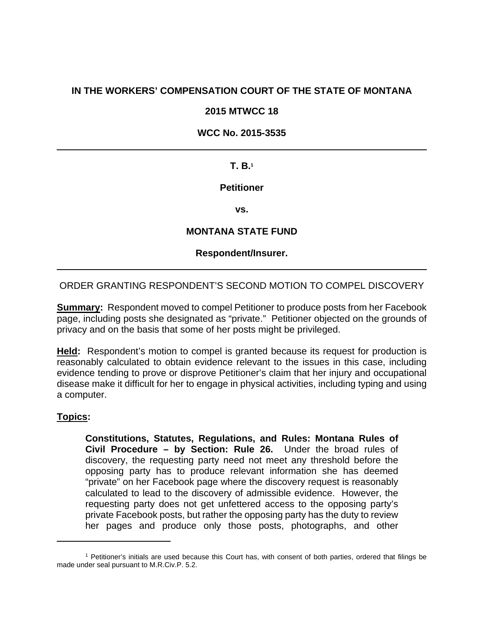# **IN THE WORKERS' COMPENSATION COURT OF THE STATE OF MONTANA**

### **2015 MTWCC 18**

### **WCC No. 2015-3535**

### **T. B.1**

### **Petitioner**

**vs.** 

## **MONTANA STATE FUND**

### **Respondent/Insurer.**

### ORDER GRANTING RESPONDENT'S SECOND MOTION TO COMPEL DISCOVERY

**Summary:** Respondent moved to compel Petitioner to produce posts from her Facebook page, including posts she designated as "private." Petitioner objected on the grounds of privacy and on the basis that some of her posts might be privileged.

**Held:** Respondent's motion to compel is granted because its request for production is reasonably calculated to obtain evidence relevant to the issues in this case, including evidence tending to prove or disprove Petitioner's claim that her injury and occupational disease make it difficult for her to engage in physical activities, including typing and using a computer.

### **Topics:**

 $\overline{a}$ 

**Constitutions, Statutes, Regulations, and Rules: Montana Rules of Civil Procedure – by Section: Rule 26.** Under the broad rules of discovery, the requesting party need not meet any threshold before the opposing party has to produce relevant information she has deemed "private" on her Facebook page where the discovery request is reasonably calculated to lead to the discovery of admissible evidence. However, the requesting party does not get unfettered access to the opposing party's private Facebook posts, but rather the opposing party has the duty to review her pages and produce only those posts, photographs, and other

<sup>1</sup> Petitioner's initials are used because this Court has, with consent of both parties, ordered that filings be made under seal pursuant to M.R.Civ.P. 5.2.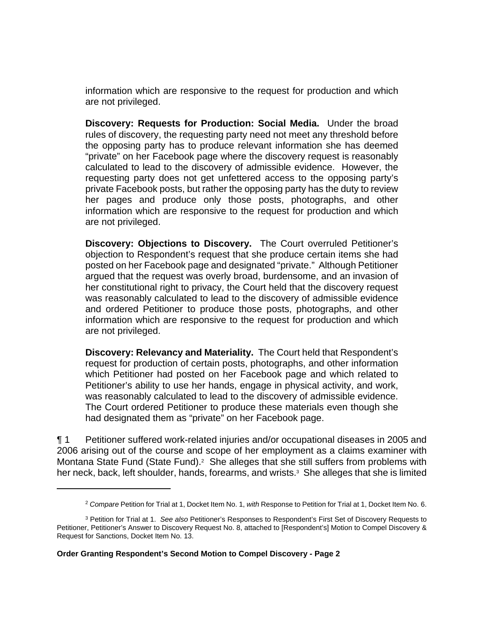information which are responsive to the request for production and which are not privileged.

**Discovery: Requests for Production: Social Media.** Under the broad rules of discovery, the requesting party need not meet any threshold before the opposing party has to produce relevant information she has deemed "private" on her Facebook page where the discovery request is reasonably calculated to lead to the discovery of admissible evidence. However, the requesting party does not get unfettered access to the opposing party's private Facebook posts, but rather the opposing party has the duty to review her pages and produce only those posts, photographs, and other information which are responsive to the request for production and which are not privileged.

**Discovery: Objections to Discovery.** The Court overruled Petitioner's objection to Respondent's request that she produce certain items she had posted on her Facebook page and designated "private." Although Petitioner argued that the request was overly broad, burdensome, and an invasion of her constitutional right to privacy, the Court held that the discovery request was reasonably calculated to lead to the discovery of admissible evidence and ordered Petitioner to produce those posts, photographs, and other information which are responsive to the request for production and which are not privileged.

**Discovery: Relevancy and Materiality.** The Court held that Respondent's request for production of certain posts, photographs, and other information which Petitioner had posted on her Facebook page and which related to Petitioner's ability to use her hands, engage in physical activity, and work, was reasonably calculated to lead to the discovery of admissible evidence. The Court ordered Petitioner to produce these materials even though she had designated them as "private" on her Facebook page.

¶ 1 Petitioner suffered work-related injuries and/or occupational diseases in 2005 and 2006 arising out of the course and scope of her employment as a claims examiner with Montana State Fund (State Fund).<sup>2</sup> She alleges that she still suffers from problems with her neck, back, left shoulder, hands, forearms, and wrists.<sup>3</sup> She alleges that she is limited

 $\overline{a}$ 

<sup>2</sup> *Compare* Petition for Trial at 1, Docket Item No. 1, *with* Response to Petition for Trial at 1, Docket Item No. 6.

<sup>3</sup> Petition for Trial at 1. *See also* Petitioner's Responses to Respondent's First Set of Discovery Requests to Petitioner, Petitioner's Answer to Discovery Request No. 8, attached to [Respondent's] Motion to Compel Discovery & Request for Sanctions, Docket Item No. 13.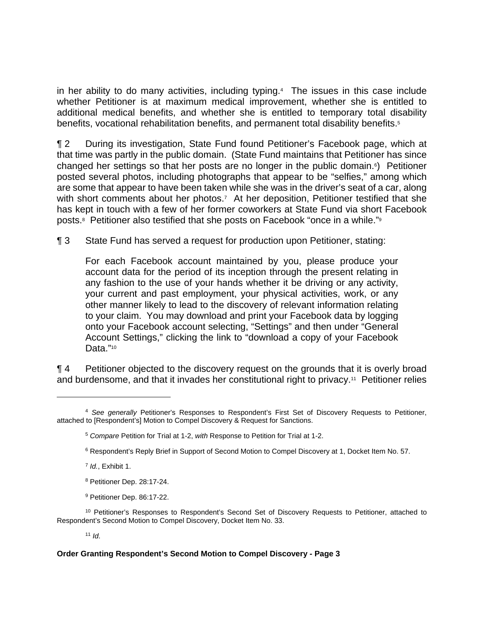in her ability to do many activities, including typing.<sup>4</sup> The issues in this case include whether Petitioner is at maximum medical improvement, whether she is entitled to additional medical benefits, and whether she is entitled to temporary total disability benefits, vocational rehabilitation benefits, and permanent total disability benefits.<sup>5</sup>

¶ 2 During its investigation, State Fund found Petitioner's Facebook page, which at that time was partly in the public domain. (State Fund maintains that Petitioner has since changed her settings so that her posts are no longer in the public domain.6) Petitioner posted several photos, including photographs that appear to be "selfies," among which are some that appear to have been taken while she was in the driver's seat of a car, along with short comments about her photos.<sup>7</sup> At her deposition, Petitioner testified that she has kept in touch with a few of her former coworkers at State Fund via short Facebook posts.8 Petitioner also testified that she posts on Facebook "once in a while."9

¶ 3 State Fund has served a request for production upon Petitioner, stating:

For each Facebook account maintained by you, please produce your account data for the period of its inception through the present relating in any fashion to the use of your hands whether it be driving or any activity, your current and past employment, your physical activities, work, or any other manner likely to lead to the discovery of relevant information relating to your claim. You may download and print your Facebook data by logging onto your Facebook account selecting, "Settings" and then under "General Account Settings," clicking the link to "download a copy of your Facebook Data."10

¶ 4 Petitioner objected to the discovery request on the grounds that it is overly broad and burdensome, and that it invades her constitutional right to privacy.<sup>11</sup> Petitioner relies

<sup>7</sup> *Id.*, Exhibit 1.

 $\overline{a}$ 

- 8 Petitioner Dep. 28:17-24.
- 9 Petitioner Dep. 86:17-22.

<sup>10</sup> Petitioner's Responses to Respondent's Second Set of Discovery Requests to Petitioner, attached to Respondent's Second Motion to Compel Discovery, Docket Item No. 33.

 $11$  *Id.* 

<sup>4</sup> *See generally* Petitioner's Responses to Respondent's First Set of Discovery Requests to Petitioner, attached to [Respondent's] Motion to Compel Discovery & Request for Sanctions.

<sup>5</sup> *Compare* Petition for Trial at 1-2, *with* Response to Petition for Trial at 1-2.

<sup>6</sup> Respondent's Reply Brief in Support of Second Motion to Compel Discovery at 1, Docket Item No. 57.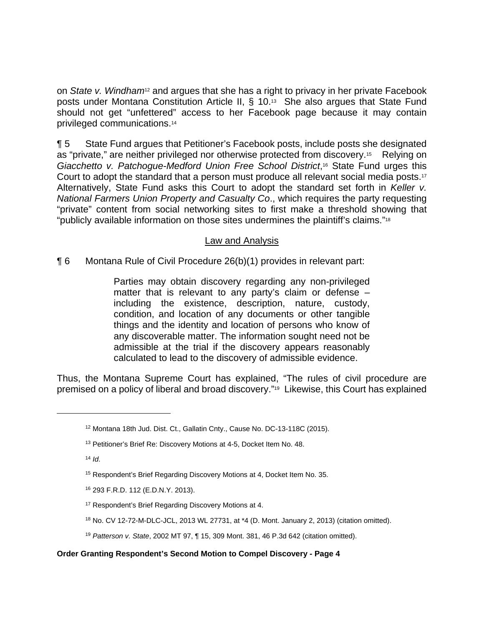on *State v. Windham<sup>12</sup>* and argues that she has a right to privacy in her private Facebook posts under Montana Constitution Article II, § 10.13 She also argues that State Fund should not get "unfettered" access to her Facebook page because it may contain privileged communications.14

¶ 5 State Fund argues that Petitioner's Facebook posts, include posts she designated as "private," are neither privileged nor otherwise protected from discovery.<sup>15</sup> Relying on *Giacchetto v. Patchogue-Medford Union Free School District*,16 State Fund urges this Court to adopt the standard that a person must produce all relevant social media posts.17 Alternatively, State Fund asks this Court to adopt the standard set forth in *Keller v. National Farmers Union Property and Casualty Co*., which requires the party requesting "private" content from social networking sites to first make a threshold showing that "publicly available information on those sites undermines the plaintiff's claims."18

# Law and Analysis

¶ 6 Montana Rule of Civil Procedure 26(b)(1) provides in relevant part:

Parties may obtain discovery regarding any non-privileged matter that is relevant to any party's claim or defense – including the existence, description, nature, custody, condition, and location of any documents or other tangible things and the identity and location of persons who know of any discoverable matter. The information sought need not be admissible at the trial if the discovery appears reasonably calculated to lead to the discovery of admissible evidence.

Thus, the Montana Supreme Court has explained, "The rules of civil procedure are premised on a policy of liberal and broad discovery."19 Likewise, this Court has explained

<sup>14</sup> *Id*.

 $\overline{a}$ 

 $18$  No. CV 12-72-M-DLC-JCL, 2013 WL 27731, at  $*4$  (D. Mont. January 2, 2013) (citation omitted).

<sup>12</sup> Montana 18th Jud. Dist. Ct., Gallatin Cnty., Cause No. DC-13-118C (2015).

<sup>&</sup>lt;sup>13</sup> Petitioner's Brief Re: Discovery Motions at 4-5, Docket Item No. 48.

<sup>&</sup>lt;sup>15</sup> Respondent's Brief Regarding Discovery Motions at 4, Docket Item No. 35.

<sup>16 293</sup> F.R.D. 112 (E.D.N.Y. 2013).

<sup>&</sup>lt;sup>17</sup> Respondent's Brief Regarding Discovery Motions at 4.

<sup>19</sup> *Patterson v. State*, 2002 MT 97, ¶ 15, 309 Mont. 381, 46 P.3d 642 (citation omitted).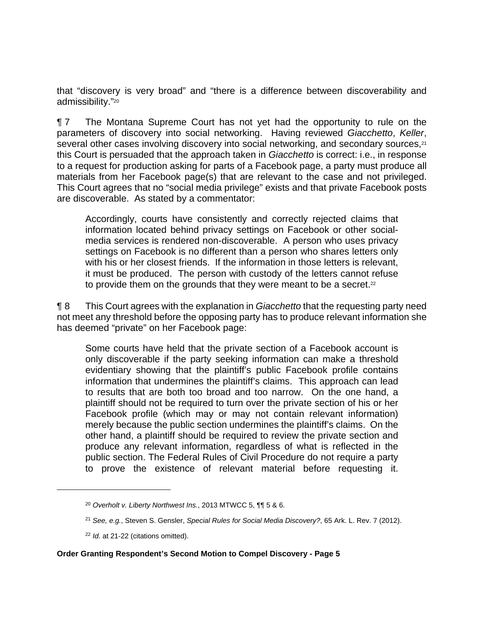that "discovery is very broad" and "there is a difference between discoverability and admissibility."20

¶ 7 The Montana Supreme Court has not yet had the opportunity to rule on the parameters of discovery into social networking. Having reviewed *Giacchetto*, *Keller*, several other cases involving discovery into social networking, and secondary sources.<sup>21</sup> this Court is persuaded that the approach taken in *Giacchetto* is correct: i.e., in response to a request for production asking for parts of a Facebook page, a party must produce all materials from her Facebook page(s) that are relevant to the case and not privileged. This Court agrees that no "social media privilege" exists and that private Facebook posts are discoverable. As stated by a commentator:

Accordingly, courts have consistently and correctly rejected claims that information located behind privacy settings on Facebook or other socialmedia services is rendered non-discoverable. A person who uses privacy settings on Facebook is no different than a person who shares letters only with his or her closest friends. If the information in those letters is relevant, it must be produced. The person with custody of the letters cannot refuse to provide them on the grounds that they were meant to be a secret.<sup>22</sup>

¶ 8 This Court agrees with the explanation in *Giacchetto* that the requesting party need not meet any threshold before the opposing party has to produce relevant information she has deemed "private" on her Facebook page:

Some courts have held that the private section of a Facebook account is only discoverable if the party seeking information can make a threshold evidentiary showing that the plaintiff's public Facebook profile contains information that undermines the plaintiff's claims. This approach can lead to results that are both too broad and too narrow. On the one hand, a plaintiff should not be required to turn over the private section of his or her Facebook profile (which may or may not contain relevant information) merely because the public section undermines the plaintiff's claims. On the other hand, a plaintiff should be required to review the private section and produce any relevant information, regardless of what is reflected in the public section. The Federal Rules of Civil Procedure do not require a party to prove the existence of relevant material before requesting it.

1

<sup>20</sup> *Overholt v. Liberty Northwest Ins.*, 2013 MTWCC 5, ¶¶ 5 & 6.

<sup>21</sup> *See, e.g.*, Steven S. Gensler, *Special Rules for Social Media Discovery?*, 65 Ark. L. Rev. 7 (2012).

<sup>22</sup> *Id.* at 21-22 (citations omitted).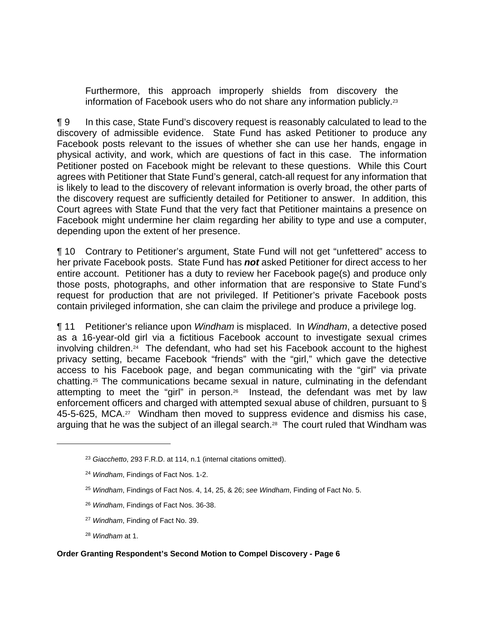Furthermore, this approach improperly shields from discovery the information of Facebook users who do not share any information publicly.23

¶ 9 In this case, State Fund's discovery request is reasonably calculated to lead to the discovery of admissible evidence. State Fund has asked Petitioner to produce any Facebook posts relevant to the issues of whether she can use her hands, engage in physical activity, and work, which are questions of fact in this case. The information Petitioner posted on Facebook might be relevant to these questions. While this Court agrees with Petitioner that State Fund's general, catch-all request for any information that is likely to lead to the discovery of relevant information is overly broad, the other parts of the discovery request are sufficiently detailed for Petitioner to answer. In addition, this Court agrees with State Fund that the very fact that Petitioner maintains a presence on Facebook might undermine her claim regarding her ability to type and use a computer, depending upon the extent of her presence.

¶ 10 Contrary to Petitioner's argument, State Fund will not get "unfettered" access to her private Facebook posts. State Fund has *not* asked Petitioner for direct access to her entire account. Petitioner has a duty to review her Facebook page(s) and produce only those posts, photographs, and other information that are responsive to State Fund's request for production that are not privileged. If Petitioner's private Facebook posts contain privileged information, she can claim the privilege and produce a privilege log.

¶ 11 Petitioner's reliance upon *Windham* is misplaced. In *Windham*, a detective posed as a 16-year-old girl via a fictitious Facebook account to investigate sexual crimes involving children. $24$  The defendant, who had set his Facebook account to the highest privacy setting, became Facebook "friends" with the "girl," which gave the detective access to his Facebook page, and began communicating with the "girl" via private chatting.25 The communications became sexual in nature, culminating in the defendant attempting to meet the "girl" in person.26 Instead, the defendant was met by law enforcement officers and charged with attempted sexual abuse of children, pursuant to § 45-5-625, MCA.27 Windham then moved to suppress evidence and dismiss his case, arguing that he was the subject of an illegal search.<sup>28</sup> The court ruled that Windham was

- <sup>26</sup> *Windham*, Findings of Fact Nos. 36-38.
- <sup>27</sup> *Windham*, Finding of Fact No. 39.
- <sup>28</sup> *Windham* at 1.

 $\overline{a}$ 

<sup>23</sup> *Giacchetto*, 293 F.R.D. at 114, n.1 (internal citations omitted).

<sup>24</sup> *Windham*, Findings of Fact Nos. 1-2.

<sup>25</sup> *Windham*, Findings of Fact Nos. 4, 14, 25, & 26; *see Windham*, Finding of Fact No. 5.